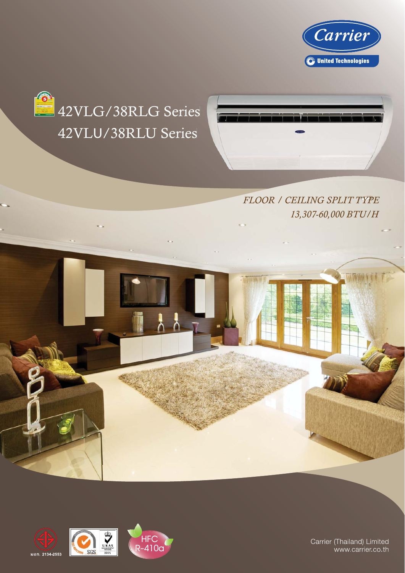





## *FLOOR / CEILING SPLIT TYPE 13,307-60,000 BTU/H*





Carrier (Thailand) Limited www.carrier.co.th